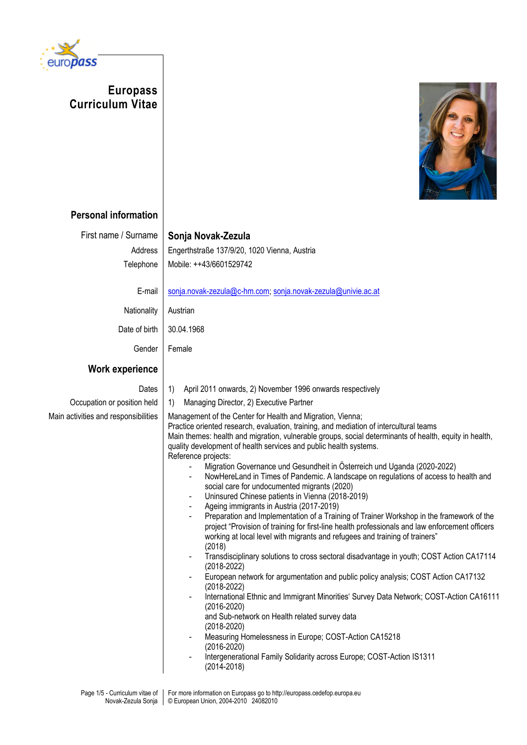

**Europass Curriculum Vitae**



## **Personal information**

First name / Surname | Sonja Novak-Zezula

Address | Engerthstraße 137/9/20, 1020 Vienna, Austria Telephone | Mobile: ++43/6601529742

E-mail [sonja.novak-zezula@c-hm.com;](mailto:sonja.novak-zezula@c-hm.com) [sonja.novak-zezula@univie.ac.at](mailto:sonja.novak-zezula@univie.ac.at)

Nationality Austrian

Date of birth 30.04.1968

Gender Female

## **Work experience**

- Dates | 1) April 2011 onwards, 2) November 1996 onwards respectively
- Occupation or position held  $\vert$  1) Managing Director, 2) Executive Partner

Main activities and responsibilities | Management of the Center for Health and Migration, Vienna; Practice oriented research, evaluation, training, and mediation of intercultural teams Main themes: health and migration, vulnerable groups, social determinants of health, equity in health, quality development of health services and public health systems. Reference projects:

- Migration Governance und Gesundheit in Österreich und Uganda (2020-2022)
- NowHereLand in Times of Pandemic. A landscape on regulations of access to health and social care for undocumented migrants (2020)
- Uninsured Chinese patients in Vienna (2018-2019)
- Ageing immigrants in Austria (2017-2019)
- Preparation and Implementation of a Training of Trainer Workshop in the framework of the project "Provision of training for first-line health professionals and law enforcement officers working at local level with migrants and refugees and training of trainers" (2018)
- Transdisciplinary solutions to cross sectoral disadvantage in youth; COST Action CA17114 (2018-2022)
- European network for argumentation and public policy analysis; COST Action CA17132 (2018-2022)
- International Ethnic and Immigrant Minorities' Survey Data Network; COST-Action CA16111 (2016-2020)

and Sub-network on Health related survey data (2018-2020)

- Measuring Homelessness in Europe; COST-Action CA15218 (2016-2020)
- Intergenerational Family Solidarity across Europe; COST-Action IS1311 (2014-2018)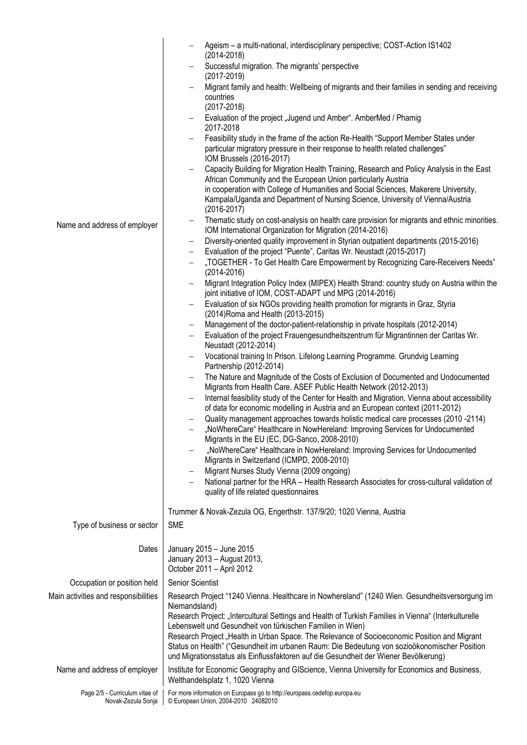| Name and address of employer                         | Ageism - a multi-national, interdisciplinary perspective; COST-Action IS1402<br>$(2014 - 2018)$<br>Successful migration. The migrants' perspective<br>$\qquad \qquad -$<br>$(2017 - 2019)$<br>Migrant family and health: Wellbeing of migrants and their families in sending and receiving<br>$\qquad \qquad -$<br>countries<br>$(2017 - 2018)$<br>Evaluation of the project "Jugend und Amber". AmberMed / Phamig<br>2017-2018<br>Feasibility study in the frame of the action Re-Health "Support Member States under<br>particular migratory pressure in their response to health related challenges"<br>IOM Brussels (2016-2017)<br>Capacity Building for Migration Health Training, Research and Policy Analysis in the East<br>African Community and the European Union particularly Austria<br>in cooperation with College of Humanities and Social Sciences, Makerere University,<br>Kampala/Uganda and Department of Nursing Science, University of Vienna/Austria<br>$(2016 - 2017)$<br>Thematic study on cost-analysis on health care provision for migrants and ethnic minorities.<br>IOM International Organization for Migration (2014-2016)<br>Diversity-oriented quality improvement in Styrian outpatient departments (2015-2016)<br>$\qquad \qquad -$<br>Evaluation of the project "Puente", Caritas Wr. Neustadt (2015-2017)<br>$\qquad \qquad -$<br>"TOGETHER - To Get Health Care Empowerment by Recognizing Care-Receivers Needs"<br>-<br>$(2014 - 2016)$<br>Migrant Integration Policy Index (MIPEX) Health Strand: country study on Austria within the<br>$\qquad \qquad -$<br>joint initiative of IOM, COST-ADAPT und MPG (2014-2016)<br>Evaluation of six NGOs providing health promotion for migrants in Graz, Styria<br>$\overline{\phantom{0}}$<br>(2014) Roma and Health (2013-2015)<br>Management of the doctor-patient-relationship in private hospitals (2012-2014)<br>$\qquad \qquad -$<br>Evaluation of the project Frauengesundheitszentrum für Migrantinnen der Caritas Wr.<br>Neustadt (2012-2014)<br>Vocational training In Prison. Lifelong Learning Programme. Grundvig Learning<br>Partnership (2012-2014)<br>The Nature and Magnitude of the Costs of Exclusion of Documented and Undocumented<br>Migrants from Health Care. ASEF Public Health Network (2012-2013)<br>Internal feasibility study of the Center for Health and Migration, Vienna about accessibility<br>$\qquad \qquad -$<br>of data for economic modelling in Austria and an European context (2011-2012)<br>Quality management approaches towards holistic medical care processes (2010 -2114)<br>"NoWhereCare" Healthcare in NowHereland: Improving Services for Undocumented<br>Migrants in the EU (EC, DG-Sanco, 2008-2010)<br>"NoWhereCare" Healthcare in NowHereland: Improving Services for Undocumented<br>Migrants in Switzerland (ICMPD, 2008-2010)<br>Migrant Nurses Study Vienna (2009 ongoing)<br>$\overline{\phantom{m}}$<br>National partner for the HRA - Health Research Associates for cross-cultural validation of<br>quality of life related questionnaires |  |  |  |  |  |  |
|------------------------------------------------------|--------------------------------------------------------------------------------------------------------------------------------------------------------------------------------------------------------------------------------------------------------------------------------------------------------------------------------------------------------------------------------------------------------------------------------------------------------------------------------------------------------------------------------------------------------------------------------------------------------------------------------------------------------------------------------------------------------------------------------------------------------------------------------------------------------------------------------------------------------------------------------------------------------------------------------------------------------------------------------------------------------------------------------------------------------------------------------------------------------------------------------------------------------------------------------------------------------------------------------------------------------------------------------------------------------------------------------------------------------------------------------------------------------------------------------------------------------------------------------------------------------------------------------------------------------------------------------------------------------------------------------------------------------------------------------------------------------------------------------------------------------------------------------------------------------------------------------------------------------------------------------------------------------------------------------------------------------------------------------------------------------------------------------------------------------------------------------------------------------------------------------------------------------------------------------------------------------------------------------------------------------------------------------------------------------------------------------------------------------------------------------------------------------------------------------------------------------------------------------------------------------------------------------------------------------------------------------------------------------------------------------------------------------------------------------------------------------------------------------------------------------------------------------------------------------------------------------------------------------------------------------------------------------------------------------------------------------------------------------------------------------------------------------------------------------------------------------------------|--|--|--|--|--|--|
| Type of business or sector                           | Trummer & Novak-Zezula OG, Engerthstr. 137/9/20; 1020 Vienna, Austria<br><b>SME</b>                                                                                                                                                                                                                                                                                                                                                                                                                                                                                                                                                                                                                                                                                                                                                                                                                                                                                                                                                                                                                                                                                                                                                                                                                                                                                                                                                                                                                                                                                                                                                                                                                                                                                                                                                                                                                                                                                                                                                                                                                                                                                                                                                                                                                                                                                                                                                                                                                                                                                                                                                                                                                                                                                                                                                                                                                                                                                                                                                                                                        |  |  |  |  |  |  |
| Dates                                                | January 2015 - June 2015<br>January 2013 - August 2013,<br>October 2011 - April 2012                                                                                                                                                                                                                                                                                                                                                                                                                                                                                                                                                                                                                                                                                                                                                                                                                                                                                                                                                                                                                                                                                                                                                                                                                                                                                                                                                                                                                                                                                                                                                                                                                                                                                                                                                                                                                                                                                                                                                                                                                                                                                                                                                                                                                                                                                                                                                                                                                                                                                                                                                                                                                                                                                                                                                                                                                                                                                                                                                                                                       |  |  |  |  |  |  |
| Occupation or position held                          | Senior Scientist                                                                                                                                                                                                                                                                                                                                                                                                                                                                                                                                                                                                                                                                                                                                                                                                                                                                                                                                                                                                                                                                                                                                                                                                                                                                                                                                                                                                                                                                                                                                                                                                                                                                                                                                                                                                                                                                                                                                                                                                                                                                                                                                                                                                                                                                                                                                                                                                                                                                                                                                                                                                                                                                                                                                                                                                                                                                                                                                                                                                                                                                           |  |  |  |  |  |  |
| Main activities and responsibilities                 | Research Project "1240 Vienna. Healthcare in Nowhereland" (1240 Wien. Gesundheitsversorgung im<br>Niemandsland)<br>Research Project: "Intercultural Settings and Health of Turkish Families in Vienna" (Interkulturelle<br>Lebenswelt und Gesundheit von türkischen Familien in Wien)<br>Research Project "Health in Urban Space. The Relevance of Socioeconomic Position and Migrant<br>Status on Health" ("Gesundheit im urbanen Raum: Die Bedeutung von sozioökonomischer Position<br>und Migrationsstatus als Einflussfaktoren auf die Gesundheit der Wiener Bevölkerung)                                                                                                                                                                                                                                                                                                                                                                                                                                                                                                                                                                                                                                                                                                                                                                                                                                                                                                                                                                                                                                                                                                                                                                                                                                                                                                                                                                                                                                                                                                                                                                                                                                                                                                                                                                                                                                                                                                                                                                                                                                                                                                                                                                                                                                                                                                                                                                                                                                                                                                              |  |  |  |  |  |  |
| Name and address of employer                         | Institute for Economic Geography and GIScience, Vienna University for Economics and Business,<br>Welthandelsplatz 1, 1020 Vienna                                                                                                                                                                                                                                                                                                                                                                                                                                                                                                                                                                                                                                                                                                                                                                                                                                                                                                                                                                                                                                                                                                                                                                                                                                                                                                                                                                                                                                                                                                                                                                                                                                                                                                                                                                                                                                                                                                                                                                                                                                                                                                                                                                                                                                                                                                                                                                                                                                                                                                                                                                                                                                                                                                                                                                                                                                                                                                                                                           |  |  |  |  |  |  |
| Page 2/5 - Curriculum vitae of<br>Novak-Zezula Sonja | For more information on Europass go to http://europass.cedefop.europa.eu<br>© European Union, 2004-2010 24082010                                                                                                                                                                                                                                                                                                                                                                                                                                                                                                                                                                                                                                                                                                                                                                                                                                                                                                                                                                                                                                                                                                                                                                                                                                                                                                                                                                                                                                                                                                                                                                                                                                                                                                                                                                                                                                                                                                                                                                                                                                                                                                                                                                                                                                                                                                                                                                                                                                                                                                                                                                                                                                                                                                                                                                                                                                                                                                                                                                           |  |  |  |  |  |  |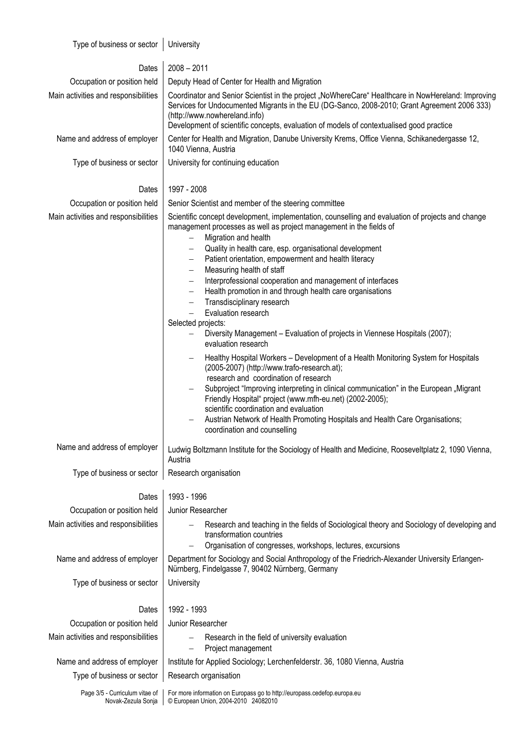Type of business or sector  $\vert$  University

| Dates                                                | $2008 - 2011$                                                                                                                                                                                                                                                                                                                                                                                                                                                                                                                                                                                                                                                                                                                                                                                                                                                                                                                                                                                                                                                                                                                                                                                                                                                                                              |  |  |  |  |  |  |
|------------------------------------------------------|------------------------------------------------------------------------------------------------------------------------------------------------------------------------------------------------------------------------------------------------------------------------------------------------------------------------------------------------------------------------------------------------------------------------------------------------------------------------------------------------------------------------------------------------------------------------------------------------------------------------------------------------------------------------------------------------------------------------------------------------------------------------------------------------------------------------------------------------------------------------------------------------------------------------------------------------------------------------------------------------------------------------------------------------------------------------------------------------------------------------------------------------------------------------------------------------------------------------------------------------------------------------------------------------------------|--|--|--|--|--|--|
| Occupation or position held                          | Deputy Head of Center for Health and Migration                                                                                                                                                                                                                                                                                                                                                                                                                                                                                                                                                                                                                                                                                                                                                                                                                                                                                                                                                                                                                                                                                                                                                                                                                                                             |  |  |  |  |  |  |
| Main activities and responsibilities                 | Coordinator and Senior Scientist in the project "NoWhereCare" Healthcare in NowHereland: Improving<br>Services for Undocumented Migrants in the EU (DG-Sanco, 2008-2010; Grant Agreement 2006 333)<br>(http://www.nowhereland.info)<br>Development of scientific concepts, evaluation of models of contextualised good practice                                                                                                                                                                                                                                                                                                                                                                                                                                                                                                                                                                                                                                                                                                                                                                                                                                                                                                                                                                            |  |  |  |  |  |  |
| Name and address of employer                         | Center for Health and Migration, Danube University Krems, Office Vienna, Schikanedergasse 12,<br>1040 Vienna, Austria                                                                                                                                                                                                                                                                                                                                                                                                                                                                                                                                                                                                                                                                                                                                                                                                                                                                                                                                                                                                                                                                                                                                                                                      |  |  |  |  |  |  |
| Type of business or sector                           | University for continuing education                                                                                                                                                                                                                                                                                                                                                                                                                                                                                                                                                                                                                                                                                                                                                                                                                                                                                                                                                                                                                                                                                                                                                                                                                                                                        |  |  |  |  |  |  |
| Dates                                                | 1997 - 2008                                                                                                                                                                                                                                                                                                                                                                                                                                                                                                                                                                                                                                                                                                                                                                                                                                                                                                                                                                                                                                                                                                                                                                                                                                                                                                |  |  |  |  |  |  |
| Occupation or position held                          | Senior Scientist and member of the steering committee                                                                                                                                                                                                                                                                                                                                                                                                                                                                                                                                                                                                                                                                                                                                                                                                                                                                                                                                                                                                                                                                                                                                                                                                                                                      |  |  |  |  |  |  |
| Main activities and responsibilities                 | Scientific concept development, implementation, counselling and evaluation of projects and change<br>management processes as well as project management in the fields of<br>Migration and health<br>$\overline{\phantom{0}}$<br>Quality in health care, esp. organisational development<br>$\qquad \qquad -$<br>Patient orientation, empowerment and health literacy<br>-<br>Measuring health of staff<br>$\qquad \qquad -$<br>Interprofessional cooperation and management of interfaces<br>$\qquad \qquad -$<br>Health promotion in and through health care organisations<br>$\qquad \qquad -$<br>Transdisciplinary research<br>-<br>Evaluation research<br>$\qquad \qquad -$<br>Selected projects:<br>Diversity Management - Evaluation of projects in Viennese Hospitals (2007);<br>evaluation research<br>Healthy Hospital Workers - Development of a Health Monitoring System for Hospitals<br>(2005-2007) (http://www.trafo-research.at);<br>research and coordination of research<br>Subproject "Improving interpreting in clinical communication" in the European "Migrant<br>Friendly Hospital" project (www.mfh-eu.net) (2002-2005);<br>scientific coordination and evaluation<br>Austrian Network of Health Promoting Hospitals and Health Care Organisations;<br>coordination and counselling |  |  |  |  |  |  |
| Name and address of employer                         | Ludwig Boltzmann Institute for the Sociology of Health and Medicine, Rooseveltplatz 2, 1090 Vienna,<br>Austria                                                                                                                                                                                                                                                                                                                                                                                                                                                                                                                                                                                                                                                                                                                                                                                                                                                                                                                                                                                                                                                                                                                                                                                             |  |  |  |  |  |  |
| Type of business or sector                           | Research organisation                                                                                                                                                                                                                                                                                                                                                                                                                                                                                                                                                                                                                                                                                                                                                                                                                                                                                                                                                                                                                                                                                                                                                                                                                                                                                      |  |  |  |  |  |  |
| Dates                                                | 1993 - 1996                                                                                                                                                                                                                                                                                                                                                                                                                                                                                                                                                                                                                                                                                                                                                                                                                                                                                                                                                                                                                                                                                                                                                                                                                                                                                                |  |  |  |  |  |  |
| Occupation or position held                          | Junior Researcher                                                                                                                                                                                                                                                                                                                                                                                                                                                                                                                                                                                                                                                                                                                                                                                                                                                                                                                                                                                                                                                                                                                                                                                                                                                                                          |  |  |  |  |  |  |
| Main activities and responsibilities                 | Research and teaching in the fields of Sociological theory and Sociology of developing and<br>transformation countries<br>Organisation of congresses, workshops, lectures, excursions                                                                                                                                                                                                                                                                                                                                                                                                                                                                                                                                                                                                                                                                                                                                                                                                                                                                                                                                                                                                                                                                                                                      |  |  |  |  |  |  |
| Name and address of employer                         | Department for Sociology and Social Anthropology of the Friedrich-Alexander University Erlangen-<br>Nürnberg, Findelgasse 7, 90402 Nürnberg, Germany                                                                                                                                                                                                                                                                                                                                                                                                                                                                                                                                                                                                                                                                                                                                                                                                                                                                                                                                                                                                                                                                                                                                                       |  |  |  |  |  |  |
| Type of business or sector                           | University                                                                                                                                                                                                                                                                                                                                                                                                                                                                                                                                                                                                                                                                                                                                                                                                                                                                                                                                                                                                                                                                                                                                                                                                                                                                                                 |  |  |  |  |  |  |
| Dates                                                | 1992 - 1993                                                                                                                                                                                                                                                                                                                                                                                                                                                                                                                                                                                                                                                                                                                                                                                                                                                                                                                                                                                                                                                                                                                                                                                                                                                                                                |  |  |  |  |  |  |
| Occupation or position held                          | Junior Researcher                                                                                                                                                                                                                                                                                                                                                                                                                                                                                                                                                                                                                                                                                                                                                                                                                                                                                                                                                                                                                                                                                                                                                                                                                                                                                          |  |  |  |  |  |  |
| Main activities and responsibilities                 | Research in the field of university evaluation<br>Project management<br>$\qquad \qquad -$                                                                                                                                                                                                                                                                                                                                                                                                                                                                                                                                                                                                                                                                                                                                                                                                                                                                                                                                                                                                                                                                                                                                                                                                                  |  |  |  |  |  |  |
| Name and address of employer                         | Institute for Applied Sociology; Lerchenfelderstr. 36, 1080 Vienna, Austria                                                                                                                                                                                                                                                                                                                                                                                                                                                                                                                                                                                                                                                                                                                                                                                                                                                                                                                                                                                                                                                                                                                                                                                                                                |  |  |  |  |  |  |
| Type of business or sector                           | Research organisation                                                                                                                                                                                                                                                                                                                                                                                                                                                                                                                                                                                                                                                                                                                                                                                                                                                                                                                                                                                                                                                                                                                                                                                                                                                                                      |  |  |  |  |  |  |
| Page 3/5 - Curriculum vitae of<br>Novak-Zezula Sonja | For more information on Europass go to http://europass.cedefop.europa.eu<br>© European Union, 2004-2010 24082010                                                                                                                                                                                                                                                                                                                                                                                                                                                                                                                                                                                                                                                                                                                                                                                                                                                                                                                                                                                                                                                                                                                                                                                           |  |  |  |  |  |  |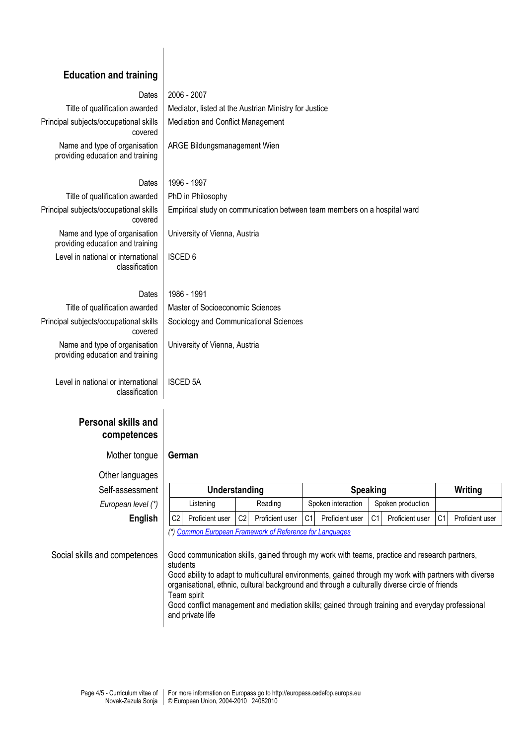## **Education and training** Dates | 2006 - 2007 Title of qualification awarded  $\parallel$  Mediator, listed at the Austrian Ministry for Justice Principal subjects/occupational skills covered Mediation and Conflict Management Name and type of organisation providing education and training ARGE Bildungsmanagement Wien Dates 1996 - 1997 Title of qualification awarded  $\parallel$  PhD in Philosophy Principal subjects/occupational skills covered Empirical study on communication between team members on a hospital ward Name and type of organisation providing education and training University of Vienna, Austria Level in national or international classification ISCED 6 Dates 1986 - 1991 Title of qualification awarded  $\parallel$  Master of Socioeconomic Sciences Principal subjects/occupational skills covered Sociology and Communicational Sciences Name and type of organisation providing education and training University of Vienna, Austria Level in national or international classification ISCED 5A **Personal skills and competences** Mother tongue **German**

Other languages  $Self-assessmen$ **European level (\*)** 

| essment     |                                                          | Understanding   |                |                 |    | <b>Speaking</b>    |                |                   |     | Writing         |  |
|-------------|----------------------------------------------------------|-----------------|----------------|-----------------|----|--------------------|----------------|-------------------|-----|-----------------|--|
| n level (*) |                                                          | Listening       |                | Reading         |    | Spoken interaction |                | Spoken production |     |                 |  |
| English     | C <sub>2</sub>                                           | Proficient user | C <sub>2</sub> | Proficient user | C1 | Proficient user    | C <sub>1</sub> | Proficient user   | C11 | Proficient user |  |
|             | (*) Common European Framework of Reference for Languages |                 |                |                 |    |                    |                |                   |     |                 |  |

Social skills and competences | Good communication skills, gained through my work with teams, practice and research partners, students Good ability to adapt to multicultural environments, gained through my work with partners with diverse

organisational, ethnic, cultural background and through a culturally diverse circle of friends Team spirit

Good conflict management and mediation skills; gained through training and everyday professional and private life